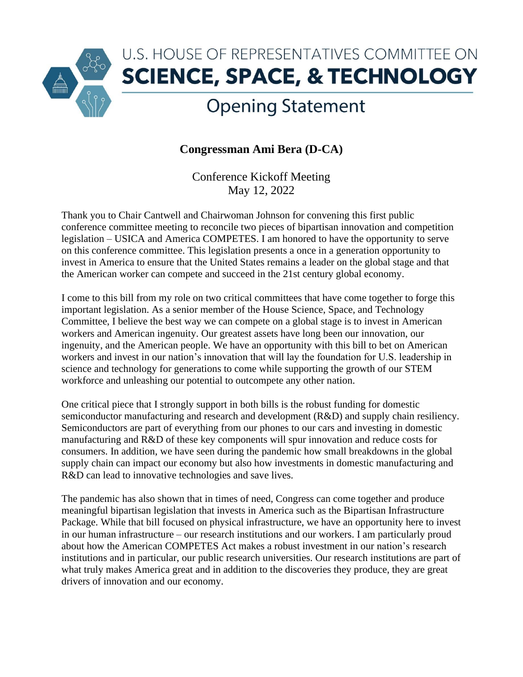

## U.S. HOUSE OF REPRESENTATIVES COMMITTEE ON **SCIENCE, SPACE, & TECHNOLOGY**

## **Opening Statement**

## **Congressman Ami Bera (D-CA)**

Conference Kickoff Meeting May 12, 2022

Thank you to Chair Cantwell and Chairwoman Johnson for convening this first public conference committee meeting to reconcile two pieces of bipartisan innovation and competition legislation – USICA and America COMPETES. I am honored to have the opportunity to serve on this conference committee. This legislation presents a once in a generation opportunity to invest in America to ensure that the United States remains a leader on the global stage and that the American worker can compete and succeed in the 21st century global economy.

I come to this bill from my role on two critical committees that have come together to forge this important legislation. As a senior member of the House Science, Space, and Technology Committee, I believe the best way we can compete on a global stage is to invest in American workers and American ingenuity. Our greatest assets have long been our innovation, our ingenuity, and the American people. We have an opportunity with this bill to bet on American workers and invest in our nation's innovation that will lay the foundation for U.S. leadership in science and technology for generations to come while supporting the growth of our STEM workforce and unleashing our potential to outcompete any other nation.

One critical piece that I strongly support in both bills is the robust funding for domestic semiconductor manufacturing and research and development (R&D) and supply chain resiliency. Semiconductors are part of everything from our phones to our cars and investing in domestic manufacturing and R&D of these key components will spur innovation and reduce costs for consumers. In addition, we have seen during the pandemic how small breakdowns in the global supply chain can impact our economy but also how investments in domestic manufacturing and R&D can lead to innovative technologies and save lives.

The pandemic has also shown that in times of need, Congress can come together and produce meaningful bipartisan legislation that invests in America such as the Bipartisan Infrastructure Package. While that bill focused on physical infrastructure, we have an opportunity here to invest in our human infrastructure – our research institutions and our workers. I am particularly proud about how the American COMPETES Act makes a robust investment in our nation's research institutions and in particular, our public research universities. Our research institutions are part of what truly makes America great and in addition to the discoveries they produce, they are great drivers of innovation and our economy.